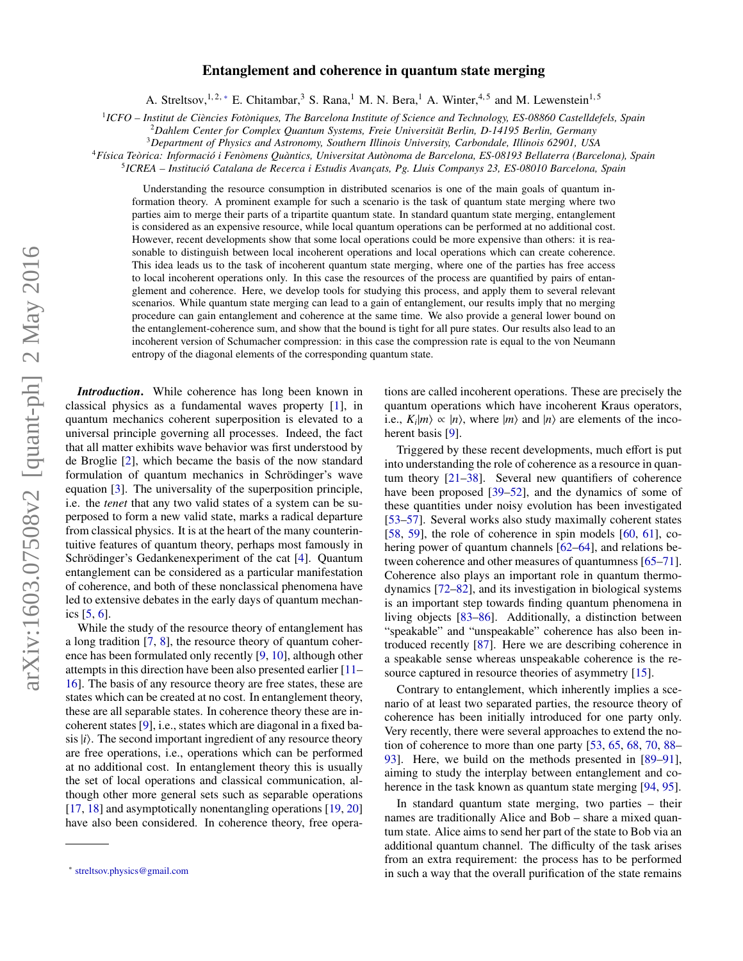# Entanglement and coherence in quantum state merging

A. Streltsov,<sup>1,2,\*</sup> E. Chitambar,<sup>3</sup> S. Rana,<sup>1</sup> M. N. Bera,<sup>1</sup> A. Winter,<sup>4,5</sup> and M. Lewenstein<sup>1,5</sup>

1 *ICFO – Institut de Ciències Fotòniques, The Barcelona Institute of Science and Technology, ES-08860 Castelldefels, Spain*

<sup>2</sup>*Dahlem Center for Complex Quantum Systems, Freie Universität Berlin, D-14195 Berlin, Germany*

<sup>3</sup>*Department of Physics and Astronomy, Southern Illinois University, Carbondale, Illinois 62901, USA*

<sup>4</sup>*Física Teòrica: Informació i Fenòmens Quàntics, Universitat Autònoma de Barcelona, ES-08193 Bellaterra (Barcelona), Spain*

5 *ICREA – Institució Catalana de Recerca i Estudis Avançats, Pg. Lluis Companys 23, ES-08010 Barcelona, Spain*

Understanding the resource consumption in distributed scenarios is one of the main goals of quantum information theory. A prominent example for such a scenario is the task of quantum state merging where two parties aim to merge their parts of a tripartite quantum state. In standard quantum state merging, entanglement is considered as an expensive resource, while local quantum operations can be performed at no additional cost. However, recent developments show that some local operations could be more expensive than others: it is reasonable to distinguish between local incoherent operations and local operations which can create coherence. This idea leads us to the task of incoherent quantum state merging, where one of the parties has free access to local incoherent operations only. In this case the resources of the process are quantified by pairs of entanglement and coherence. Here, we develop tools for studying this process, and apply them to several relevant scenarios. While quantum state merging can lead to a gain of entanglement, our results imply that no merging procedure can gain entanglement and coherence at the same time. We also provide a general lower bound on the entanglement-coherence sum, and show that the bound is tight for all pure states. Our results also lead to an incoherent version of Schumacher compression: in this case the compression rate is equal to the von Neumann entropy of the diagonal elements of the corresponding quantum state.

*Introduction*. While coherence has long been known in classical physics as a fundamental waves property [\[1\]](#page-4-0), in quantum mechanics coherent superposition is elevated to a universal principle governing all processes. Indeed, the fact that all matter exhibits wave behavior was first understood by de Broglie [\[2\]](#page-4-1), which became the basis of the now standard formulation of quantum mechanics in Schrödinger's wave equation [\[3\]](#page-4-2). The universality of the superposition principle, i.e. the *tenet* that any two valid states of a system can be superposed to form a new valid state, marks a radical departure from classical physics. It is at the heart of the many counterintuitive features of quantum theory, perhaps most famously in Schrödinger's Gedankenexperiment of the cat [\[4\]](#page-4-3). Quantum entanglement can be considered as a particular manifestation of coherence, and both of these nonclassical phenomena have led to extensive debates in the early days of quantum mechanics [\[5,](#page-4-4) [6\]](#page-4-5).

While the study of the resource theory of entanglement has a long tradition [\[7,](#page-4-6) [8\]](#page-4-7), the resource theory of quantum coherence has been formulated only recently [\[9,](#page-4-8) [10\]](#page-4-9), although other attempts in this direction have been also presented earlier [\[11–](#page-4-10) [16\]](#page-4-11). The basis of any resource theory are free states, these are states which can be created at no cost. In entanglement theory, these are all separable states. In coherence theory these are incoherent states [\[9\]](#page-4-8), i.e., states which are diagonal in a fixed basis  $|i\rangle$ . The second important ingredient of any resource theory are free operations, i.e., operations which can be performed at no additional cost. In entanglement theory this is usually the set of local operations and classical communication, although other more general sets such as separable operations [\[17,](#page-4-12) [18\]](#page-4-13) and asymptotically nonentangling operations [\[19,](#page-4-14) [20\]](#page-4-15) have also been considered. In coherence theory, free operations are called incoherent operations. These are precisely the quantum operations which have incoherent Kraus operators, i.e.,  $K_i|m\rangle \propto |n\rangle$ , where  $|m\rangle$  and  $|n\rangle$  are elements of the incoherent basis [\[9\]](#page-4-8).

Triggered by these recent developments, much effort is put into understanding the role of coherence as a resource in quantum theory [\[21–](#page-4-16)[38\]](#page-4-17). Several new quantifiers of coherence have been proposed [\[39–](#page-4-18)[52\]](#page-4-19), and the dynamics of some of these quantities under noisy evolution has been investigated [\[53](#page-4-20)[–57\]](#page-5-0). Several works also study maximally coherent states [\[58,](#page-5-1) [59\]](#page-5-2), the role of coherence in spin models  $[60, 61]$  $[60, 61]$  $[60, 61]$ , cohering power of quantum channels [\[62–](#page-5-5)[64\]](#page-5-6), and relations be-tween coherence and other measures of quantumness [\[65](#page-5-7)[–71\]](#page-5-8). Coherence also plays an important role in quantum thermodynamics [\[72](#page-5-9)[–82\]](#page-5-10), and its investigation in biological systems is an important step towards finding quantum phenomena in living objects [\[83](#page-5-11)[–86\]](#page-5-12). Additionally, a distinction between "speakable" and "unspeakable" coherence has also been introduced recently [\[87\]](#page-5-13). Here we are describing coherence in a speakable sense whereas unspeakable coherence is the re-source captured in resource theories of asymmetry [\[15\]](#page-4-21).

Contrary to entanglement, which inherently implies a scenario of at least two separated parties, the resource theory of coherence has been initially introduced for one party only. Very recently, there were several approaches to extend the notion of coherence to more than one party [\[53,](#page-4-20) [65,](#page-5-7) [68,](#page-5-14) [70,](#page-5-15) [88–](#page-5-16) [93\]](#page-5-17). Here, we build on the methods presented in [\[89](#page-5-18)[–91\]](#page-5-19), aiming to study the interplay between entanglement and co-herence in the task known as quantum state merging [\[94,](#page-5-20) [95\]](#page-5-21).

In standard quantum state merging, two parties – their names are traditionally Alice and Bob – share a mixed quantum state. Alice aims to send her part of the state to Bob via an additional quantum channel. The difficulty of the task arises from an extra requirement: the process has to be performed in such a way that the overall purification of the state remains

<span id="page-0-0"></span><sup>∗</sup> [streltsov.physics@gmail.com](mailto:streltsov.physics@gmail.com)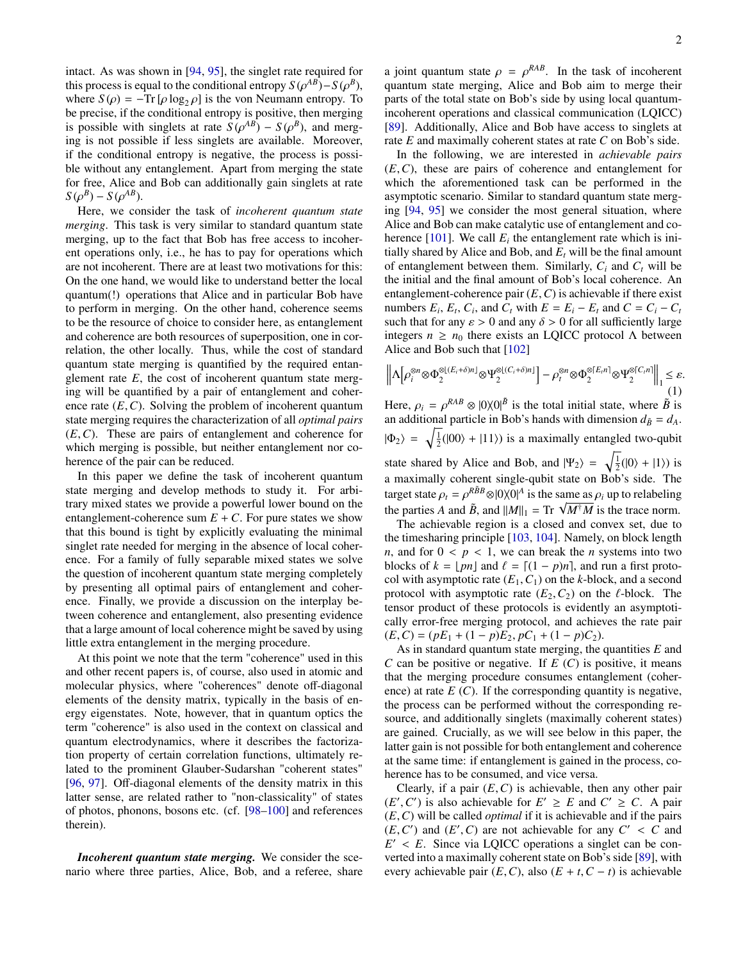intact. As was shown in [\[94,](#page-5-20) [95\]](#page-5-21), the singlet rate required for this process is equal to the conditional entropy  $S(\rho^{AB})$ – $S(\rho^B)$ , where  $S(\rho)$  –  $Ts[\rho]\rho\alpha$ ,  $\rho$  is the von Neumann entropy. To where  $S(\rho) = -\text{Tr} [\rho \log_2 \rho]$  is the von Neumann entropy. To be precise, if the conditional entropy is positive, then merging is possible with singlets at rate  $S(\rho^{AB}) - S(\rho^{B})$ , and merg-<br>ing is not possible if less singlets are available. Moreover ing is not possible if less singlets are available. Moreover, if the conditional entropy is negative, the process is possible without any entanglement. Apart from merging the state for free, Alice and Bob can additionally gain singlets at rate  $S(\rho^B) - S(\rho^{AB})$ .<br>Here we con

Here, we consider the task of *incoherent quantum state merging*. This task is very similar to standard quantum state merging, up to the fact that Bob has free access to incoherent operations only, i.e., he has to pay for operations which are not incoherent. There are at least two motivations for this: On the one hand, we would like to understand better the local quantum(!) operations that Alice and in particular Bob have to perform in merging. On the other hand, coherence seems to be the resource of choice to consider here, as entanglement and coherence are both resources of superposition, one in correlation, the other locally. Thus, while the cost of standard quantum state merging is quantified by the required entanglement rate *E*, the cost of incoherent quantum state merging will be quantified by a pair of entanglement and coherence rate (*E*,*C*). Solving the problem of incoherent quantum state merging requires the characterization of all *optimal pairs* (*E*,*C*). These are pairs of entanglement and coherence for which merging is possible, but neither entanglement nor coherence of the pair can be reduced.

In this paper we define the task of incoherent quantum state merging and develop methods to study it. For arbitrary mixed states we provide a powerful lower bound on the entanglement-coherence sum  $E + C$ . For pure states we show that this bound is tight by explicitly evaluating the minimal singlet rate needed for merging in the absence of local coherence. For a family of fully separable mixed states we solve the question of incoherent quantum state merging completely by presenting all optimal pairs of entanglement and coherence. Finally, we provide a discussion on the interplay between coherence and entanglement, also presenting evidence that a large amount of local coherence might be saved by using little extra entanglement in the merging procedure.

At this point we note that the term "coherence" used in this and other recent papers is, of course, also used in atomic and molecular physics, where "coherences" denote off-diagonal elements of the density matrix, typically in the basis of energy eigenstates. Note, however, that in quantum optics the term "coherence" is also used in the context on classical and quantum electrodynamics, where it describes the factorization property of certain correlation functions, ultimately related to the prominent Glauber-Sudarshan "coherent states" [\[96,](#page-5-22) [97\]](#page-5-23). Off-diagonal elements of the density matrix in this latter sense, are related rather to "non-classicality" of states of photos, phonons, bosons etc. (cf. [\[98](#page-5-24)[–100\]](#page-5-25) and references therein).

*Incoherent quantum state merging.* We consider the scenario where three parties, Alice, Bob, and a referee, share

a joint quantum state  $\rho = \rho^{RAB}$ . In the task of incoherent<br>quantum state merging. Alice and Bob aim to merge their quantum state merging, Alice and Bob aim to merge their parts of the total state on Bob's side by using local quantumincoherent operations and classical communication (LQICC) [\[89\]](#page-5-18). Additionally, Alice and Bob have access to singlets at rate *E* and maximally coherent states at rate *C* on Bob's side.

In the following, we are interested in *achievable pairs* (*E*,*C*), these are pairs of coherence and entanglement for which the aforementioned task can be performed in the asymptotic scenario. Similar to standard quantum state merging [\[94,](#page-5-20) [95\]](#page-5-21) we consider the most general situation, where Alice and Bob can make catalytic use of entanglement and coherence  $[101]$ . We call  $E_i$  the entanglement rate which is initially shared by Alice and Bob, and  $E_t$  will be the final amount of entanglement between them. Similarly,  $C_i$  and  $C_t$  will be the initial and the final amount of Bob's local coherence. An entanglement-coherence pair (*E*,*C*) is achievable if there exist numbers  $E_i$ ,  $E_t$ ,  $C_i$ , and  $C_t$  with  $E = E_i - E_t$  and  $C = C_i - C_t$ such that for any  $\varepsilon > 0$  and any  $\delta > 0$  for all sufficiently large integers  $n \geq n_0$  there exists an LQICC protocol  $\Lambda$  between Alice and Bob such that [\[102\]](#page-5-27)

<span id="page-1-0"></span>
$$
\left\| \Lambda \left[ \rho_i^{\otimes n} \otimes \Phi_2^{\otimes \left[ (E_i + \delta) n \right]} \otimes \Psi_2^{\otimes \left[ (C_i + \delta) n \right]} \right] - \rho_i^{\otimes n} \otimes \Phi_2^{\otimes \left[ E_i n \right]} \otimes \Psi_2^{\otimes \left[ C_i n \right]} \right\|_1 \leq \varepsilon. \tag{1}
$$

Here,  $\rho_i = \rho^{RAB} \otimes |0\rangle\langle 0|^{\tilde{B}}$  is the total initial state, where  $\tilde{B}$  is an additional particle in Bob's hands with dimension  $d_{\tilde{B}} = d_{\tilde{B}}$ . an additional particle in Bob's hands with dimension  $d_{\tilde{B}} = d_A$ .  $|\Phi_2\rangle = \sqrt{\frac{1}{2}}(|00\rangle + |11\rangle)$  is a maximally entangled two-qubit state shared by Alice and Bob, and  $|\Psi_2\rangle = \sqrt{\frac{1}{2}}(|0\rangle + |1\rangle)$  is a maximally coherent single-qubit state on Bob's side. The target state  $\rho_t = \rho^{R\bar{B}B} \otimes |0\rangle\langle 0|^A$  is the same as  $\rho_i$  up to relabeling<br>the perties A and  $\tilde{P}$  and  $||M|| = \text{Tr} \sqrt{M^{\dagger}M}$  is the trace norm the parties *A* and  $\tilde{B}$ , and  $||M||_1 = \text{Tr} \sqrt{M^{\dagger}M}$  is the trace norm.

The achievable region is a closed and convex set, due to the timesharing principle [\[103,](#page-5-28) [104\]](#page-5-29). Namely, on block length *n*, and for  $0 < p < 1$ , we can break the *n* systems into two blocks of  $k = \lfloor pn \rfloor$  and  $\ell = \lfloor (1 - p)n \rfloor$ , and run a first protocol with asymptotic rate  $(E_1, C_1)$  on the *k*-block, and a second protocol with asymptotic rate  $(E_2, C_2)$  on the  $\ell$ -block. The tensor product of these protocols is evidently an asymptotically error-free merging protocol, and achieves the rate pair  $(E, C) = (pE_1 + (1-p)E_2, pC_1 + (1-p)C_2).$ 

As in standard quantum state merging, the quantities *E* and *C* can be positive or negative. If *E* (*C*) is positive, it means that the merging procedure consumes entanglement (coherence) at rate  $E(G)$ . If the corresponding quantity is negative, the process can be performed without the corresponding resource, and additionally singlets (maximally coherent states) are gained. Crucially, as we will see below in this paper, the latter gain is not possible for both entanglement and coherence at the same time: if entanglement is gained in the process, coherence has to be consumed, and vice versa.

Clearly, if a pair  $(E, C)$  is achievable, then any other pair  $(E', C')$  is also achievable for  $E' \ge E$  and  $C' \ge C$ . A pair  $(E, C)$  will be called *ontinal* if it is achievable and if the pairs (*E*,*C*) will be called *optimal* if it is achievable and if the pairs  $(E, C')$  and  $(E', C)$  are not achievable for any  $C' < C$  and  $E' < E$ . Since via LOICC operations a singlet can be con- $E' < E$ . Since via LQICC operations a singlet can be con-<br>verted into a maximally coherent state on Bob's side [89], with verted into a maximally coherent state on Bob's side [\[89\]](#page-5-18), with every achievable pair  $(E, C)$ , also  $(E + t, C - t)$  is achievable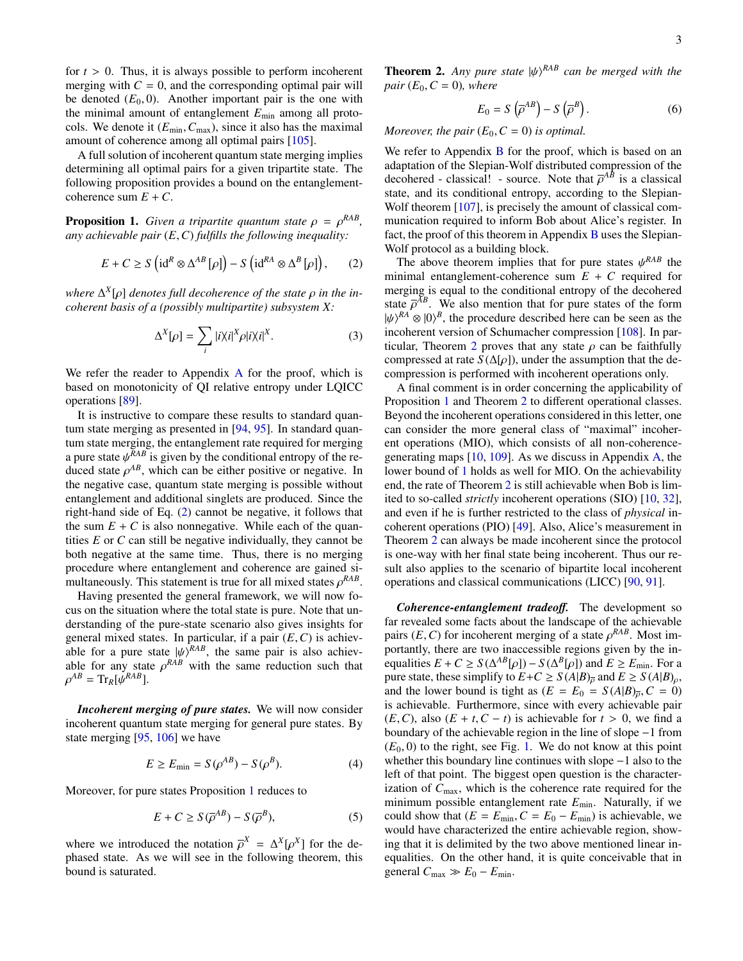for  $t > 0$ . Thus, it is always possible to perform incoherent merging with  $C = 0$ , and the corresponding optimal pair will be denoted  $(E_0, 0)$ . Another important pair is the one with the minimal amount of entanglement *E*min among all protocols. We denote it  $(E_{min}, C_{max})$ , since it also has the maximal amount of coherence among all optimal pairs [\[105\]](#page-5-30).

A full solution of incoherent quantum state merging implies determining all optimal pairs for a given tripartite state. The following proposition provides a bound on the entanglementcoherence sum  $E + C$ .

<span id="page-2-1"></span>**Proposition 1.** *Given a tripartite quantum state*  $\rho = \rho^{RAB}$ , *any achievable pair* (*F, C) fulfills the following inequality: any achievable pair* (*E*,*C*) *fulfills the following inequality:*

<span id="page-2-0"></span>
$$
E + C \ge S \left( \mathrm{id}^R \otimes \Delta^{AB} [\rho] \right) - S \left( \mathrm{id}^{RA} \otimes \Delta^B [\rho] \right), \qquad (2)
$$

*where* Δ<sup>*x*</sup>[ρ] *denotes full decoherence of the state ρ in the in-*<br>coherent basis of a (possibly multipartite) subsystem X<sup>-</sup> *coherent basis of a (possibly multipartite) subsystem X:*

$$
\Delta^{X}[\rho] = \sum_{i} |i\rangle\langle i|^{X} \rho |i\rangle\langle i|^{X}.
$$
 (3)

We refer the reader to [A](#page-6-0)ppendix A for the proof, which is based on monotonicity of QI relative entropy under LQICC operations [\[89\]](#page-5-18).

It is instructive to compare these results to standard quantum state merging as presented in [\[94,](#page-5-20) [95\]](#page-5-21). In standard quantum state merging, the entanglement rate required for merging a pure state  $\psi^{RAB}$  is given by the conditional entropy of the re-<br>duced state  $\phi^{AB}$  which can be either positive or negative. In duced state  $\rho^{AB}$ , which can be either positive or negative. In the negative case, quantum state merging is possible without the negative case, quantum state merging is possible without entanglement and additional singlets are produced. Since the right-hand side of Eq. [\(2\)](#page-2-0) cannot be negative, it follows that the sum  $E + C$  is also nonnegative. While each of the quantities *E* or *C* can still be negative individually, they cannot be both negative at the same time. Thus, there is no merging procedure where entanglement and coherence are gained simultaneously. This statement is true for all mixed states  $\rho^{RAB}$ .<br>Having presented the general framework, we will now for

Having presented the general framework, we will now focus on the situation where the total state is pure. Note that understanding of the pure-state scenario also gives insights for general mixed states. In particular, if a pair (*E*,*C*) is achievable for a pure state  $|\psi\rangle^{RAB}$ , the same pair is also achiev-<br>able for any state  $\phi^{RAB}$  with the same reduction such that able for any state  $\rho^{RAB}$  with the same reduction such that  $\rho^{AB} = Tr_{B}[\psi^{RAB}]$ ρ  $^{AB}$  = Tr<sub>*R*</sub>[ $\psi^{RAB}$ ].

*Incoherent merging of pure states.* We will now consider incoherent quantum state merging for general pure states. By state merging [\[95,](#page-5-21) [106\]](#page-5-31) we have

$$
E \ge E_{\min} = S(\rho^{AB}) - S(\rho^{B}).
$$
\n(4)

Moreover, for pure states Proposition [1](#page-2-1) reduces to

$$
E + C \ge S(\overline{\rho}^{AB}) - S(\overline{\rho}^{B}), \tag{5}
$$

where we introduced the notation  $\overline{\rho}^X = \Delta^X[\rho^X]$  for the de-<br>phased state. As we will see in the following theorem, this phased state. As we will see in the following theorem, this bound is saturated.

<span id="page-2-2"></span>**Theorem 2.** *Any pure state*  $|\psi\rangle^{RAB}$  *can be merged with the pair* (*F*<sub>0</sub>  $C = 0$ *) where pair*  $(E_0, C = 0)$ *, where* 

$$
E_0 = S\left(\overline{\rho}^{AB}\right) - S\left(\overline{\rho}^B\right). \tag{6}
$$

*Moreover, the pair*  $(E_0, C = 0)$  *is optimal.* 

We refer to Appendix [B](#page-6-1) for the proof, which is based on an adaptation of the Slepian-Wolf distributed compression of the decohered - classical! - source. Note that  $\overline{\rho}^{AB}$  is a classical<br>state, and its conditional entropy, according to the Slepianstate, and its conditional entropy, according to the Slepian-Wolf theorem [\[107\]](#page-5-32), is precisely the amount of classical communication required to inform Bob about Alice's register. In fact, the proof of this theorem in Appendix [B](#page-6-1) uses the Slepian-Wolf protocol as a building block.

The above theorem implies that for pure states  $\psi^{RAB}$  the nimal entanglement-coherence sum  $F + C$  required for minimal entanglement-coherence sum  $E + C$  required for merging is equal to the conditional entropy of the decohered state  $\overline{\rho}^{AB}$ . We also mention that for pure states of the form  $b/\sqrt{BA}} \otimes 10^8$  the procedure described here can be seen as the  $|\psi\rangle^{RA} \otimes |0\rangle^{B}$ , the procedure described here can be seen as the incoherent version of Schumacher compression [108]. In parincoherent version of Schumacher compression [\[108\]](#page-5-33). In par-ticular, Theorem [2](#page-2-2) proves that any state  $\rho$  can be faithfully compressed at rate *S* ( $\Delta[\rho]$ ), under the assumption that the decompression is performed with incoherent operations only.

A final comment is in order concerning the applicability of Proposition [1](#page-2-1) and Theorem [2](#page-2-2) to different operational classes. Beyond the incoherent operations considered in this letter, one can consider the more general class of "maximal" incoherent operations (MIO), which consists of all non-coherencegenerating maps [\[10,](#page-4-9) [109\]](#page-5-34). As we discuss in Appendix [A,](#page-6-0) the lower bound of [1](#page-2-1) holds as well for MIO. On the achievability end, the rate of Theorem [2](#page-2-2) is still achievable when Bob is limited to so-called *strictly* incoherent operations (SIO) [\[10,](#page-4-9) [32\]](#page-4-22), and even if he is further restricted to the class of *physical* incoherent operations (PIO) [\[49\]](#page-4-23). Also, Alice's measurement in Theorem [2](#page-2-2) can always be made incoherent since the protocol is one-way with her final state being incoherent. Thus our result also applies to the scenario of bipartite local incoherent operations and classical communications (LICC) [\[90,](#page-5-35) [91\]](#page-5-19).

*Coherence-entanglement tradeo*ff*.* The development so far revealed some facts about the landscape of the achievable pairs  $(E, C)$  for incoherent merging of a state  $\rho^{RAB}$ . Most im-<br>portantly, there are two inaccessible regions given by the inportantly, there are two inaccessible regions given by the inequalities  $E + C \ge S(\Delta^{AB}[\rho]) - S(\Delta^{B}[\rho])$  and  $E \ge E_{\text{min}}$ . For a pure state these simplify to  $F + C > S(A|B)$  and  $F > S(A|B)$ . pure state, these simplify to  $E + C \ge S(A|B)_{\overline{p}}$  and  $E \ge S(A|B)_{\rho}$ , and the lower bound is tight as  $(E = E_0 = S(A|B)_{\overline{0}}, C = 0)$ is achievable. Furthermore, since with every achievable pair (*E*,*C*), also (*E* + *t*,*C* − *t*) is achievable for *t* > 0, we find a boundary of the achievable region in the line of slope −1 from  $(E_0, 0)$  to the right, see Fig. [1.](#page-3-0) We do not know at this point whether this boundary line continues with slope −1 also to the left of that point. The biggest open question is the characterization of  $C_{\text{max}}$ , which is the coherence rate required for the minimum possible entanglement rate  $E_{min}$ . Naturally, if we could show that  $(E = E_{min}, C = E_0 - E_{min})$  is achievable, we would have characterized the entire achievable region, showing that it is delimited by the two above mentioned linear inequalities. On the other hand, it is quite conceivable that in general  $C_{\text{max}} \gg E_0 - E_{\text{min}}$ .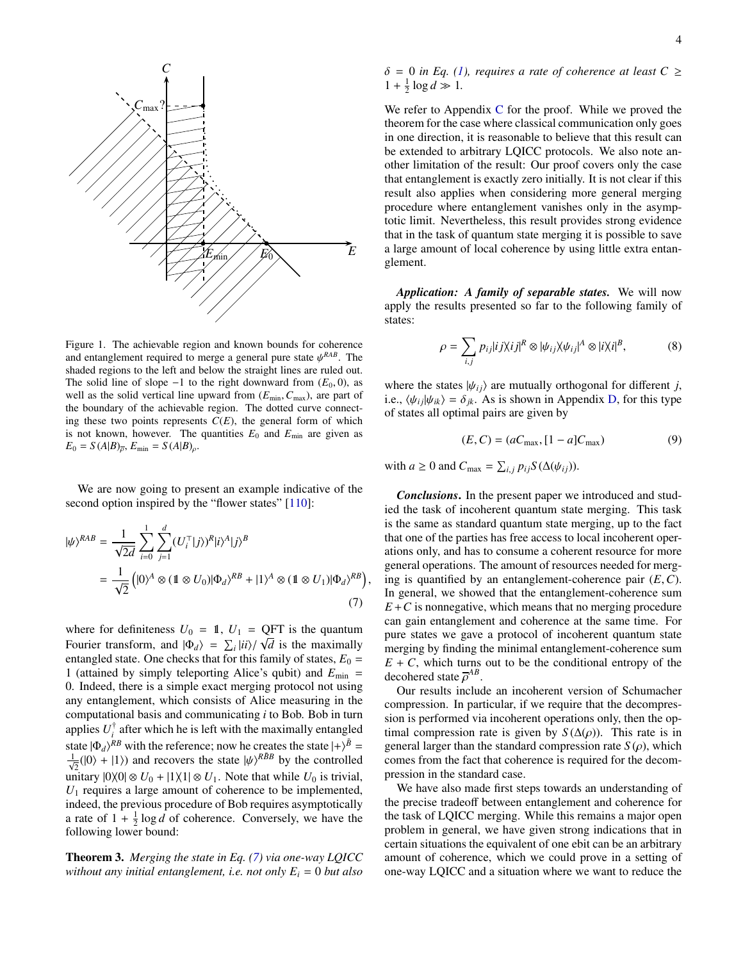

<span id="page-3-0"></span>Figure 1. The achievable region and known bounds for coherence and entanglement required to merge a general pure state  $\psi^{RAB}$ . The shaded regions to the left and below the straight lines are ruled out shaded regions to the left and below the straight lines are ruled out. The solid line of slope  $-1$  to the right downward from  $(E_0, 0)$ , as well as the solid vertical line upward from  $(E_{min}, C_{max})$ , are part of the boundary of the achievable region. The dotted curve connecting these two points represents  $C(E)$ , the general form of which is not known, however. The quantities  $E_0$  and  $E_{\text{min}}$  are given as  $E_0 = S(A|B)_{\bar{\rho}}, E_{\min} = S(A|B)_{\rho}.$ 

We are now going to present an example indicative of the second option inspired by the "flower states" [\[110\]](#page-5-36):

<span id="page-3-1"></span>
$$
|\psi\rangle^{RAB} = \frac{1}{\sqrt{2d}} \sum_{i=0}^{1} \sum_{j=1}^{d} (U_i^{\top} |j\rangle)^R |i\rangle^A |j\rangle^B
$$
  
= 
$$
\frac{1}{\sqrt{2}} (|0\rangle^A \otimes (1 \otimes U_0) |0\rangle_A \rangle^{RB} + |1\rangle^A \otimes (1 \otimes U_1) |0\rangle_A \rangle^{RB})
$$
(7)

where for definiteness  $U_0 = 1$ ,  $U_1 = \underset{\text{p}}{\text{QFT}}$  is the quantum Fourier transform, and  $|\Phi_d\rangle = \sum_i |ii\rangle / \sqrt{d}$  is the maximally entangled state. One checks that for this family of states  $F_0$ entangled state. One checks that for this family of states,  $E_0 =$ 1 (attained by simply teleporting Alice's qubit) and *E*min = 0. Indeed, there is a simple exact merging protocol not using any entanglement, which consists of Alice measuring in the computational basis and communicating *i* to Bob. Bob in turn applies  $U_i^{\dagger}$  after which he is left with the maximally entangled state  $|\Phi_d\rangle^{RB}$  with the reference; now he creates the state  $|+\rangle^{\tilde{B}} = \frac{1}{\sqrt{2}}(|0\rangle + |1\rangle)$  and recovers the state  $|\psi\rangle^{R\tilde{B}B}$  by the controlled unitary  $|0\rangle\langle 0| \otimes U_0 + |1\rangle\langle 1| \otimes U_1$ . Note that while *U*<sub>0</sub> is trivial, *U*<sup>1</sup> requires a large amount of coherence to be implemented, indeed, the previous procedure of Bob requires asymptotically a rate of  $1 + \frac{1}{2} \log d$  of coherence. Conversely, we have the following lower bound:

<span id="page-3-2"></span>Theorem 3. *Merging the state in Eq. [\(7\)](#page-3-1) via one-way LQICC without any initial entanglement, i.e. not only*  $E_i = 0$  *but also*   $\delta = 0$  *in Eq. [\(1\)](#page-1-0), requires a rate of coherence at least C*  $\geq$  $1 + \frac{1}{2} \log d \gg 1.$ 

We refer to Appendix  $C$  for the proof. While we proved the theorem for the case where classical communication only goes in one direction, it is reasonable to believe that this result can be extended to arbitrary LQICC protocols. We also note another limitation of the result: Our proof covers only the case that entanglement is exactly zero initially. It is not clear if this result also applies when considering more general merging procedure where entanglement vanishes only in the asymptotic limit. Nevertheless, this result provides strong evidence that in the task of quantum state merging it is possible to save a large amount of local coherence by using little extra entanglement.

*Application: A family of separable states.* We will now apply the results presented so far to the following family of states:

$$
\rho = \sum_{i,j} p_{ij} |ij \rangle \langle ij|^R \otimes |\psi_{ij} \rangle \langle \psi_{ij}|^A \otimes |i \rangle \langle i|^B, \tag{8}
$$

where the states  $|\psi_{ij}\rangle$  are mutually orthogonal for different *j*, i.e.,  $\langle \psi_{ij} | \psi_{ik} \rangle = \delta_{ik}$ . As is shown in Appendix [D,](#page-8-0) for this type of states all optimal pairs are given by

<span id="page-3-3"></span>
$$
(E, C) = (aC_{\text{max}}, [1 - a]C_{\text{max}})
$$
\n(9)

with *a*  $\geq 0$  and  $C_{\text{max}} = \sum_{i,j} p_{ij} S(\Delta(\psi_{ij}))$ .

,

*Conclusions*. In the present paper we introduced and studied the task of incoherent quantum state merging. This task is the same as standard quantum state merging, up to the fact that one of the parties has free access to local incoherent operations only, and has to consume a coherent resource for more general operations. The amount of resources needed for merging is quantified by an entanglement-coherence pair (*E*,*C*). In general, we showed that the entanglement-coherence sum  $E + C$  is nonnegative, which means that no merging procedure can gain entanglement and coherence at the same time. For pure states we gave a protocol of incoherent quantum state merging by finding the minimal entanglement-coherence sum  $E + C$ , which turns out to be the conditional entropy of the decohered state  $\overline{\rho}^{AB}$ .<br>Our results include

Our results include an incoherent version of Schumacher compression. In particular, if we require that the decompression is performed via incoherent operations only, then the optimal compression rate is given by  $S(\Delta(\rho))$ . This rate is in general larger than the standard compression rate  $S(\rho)$ , which comes from the fact that coherence is required for the decompression in the standard case.

We have also made first steps towards an understanding of the precise tradeoff between entanglement and coherence for the task of LQICC merging. While this remains a major open problem in general, we have given strong indications that in certain situations the equivalent of one ebit can be an arbitrary amount of coherence, which we could prove in a setting of one-way LQICC and a situation where we want to reduce the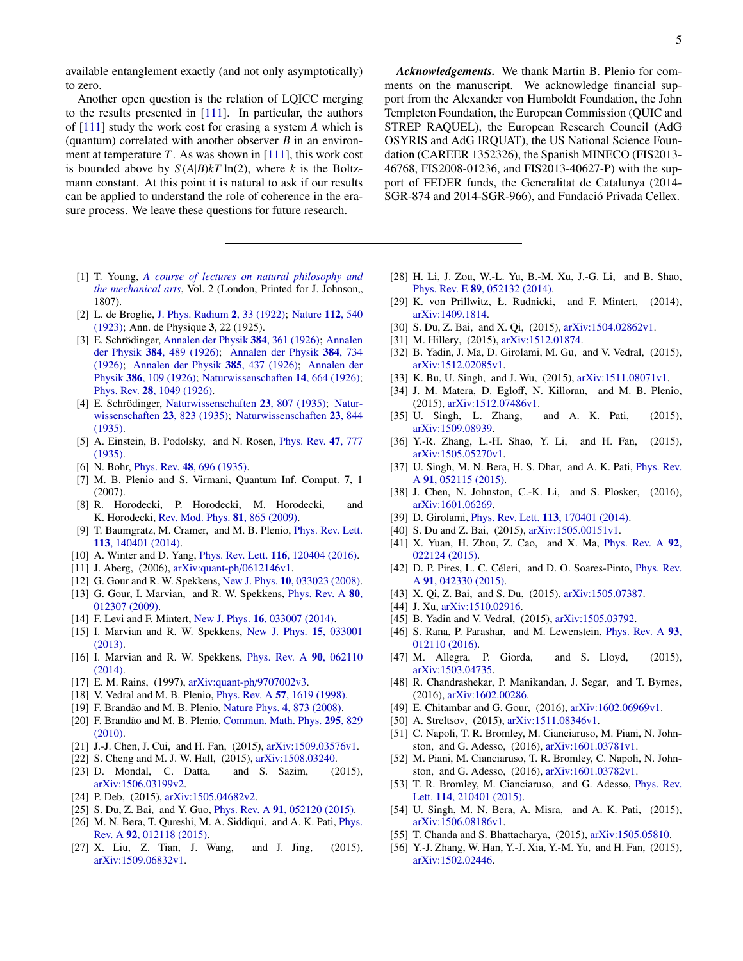available entanglement exactly (and not only asymptotically) to zero.

Another open question is the relation of LQICC merging to the results presented in [\[111\]](#page-5-37). In particular, the authors of [\[111\]](#page-5-37) study the work cost for erasing a system *A* which is (quantum) correlated with another observer *B* in an environment at temperature *T*. As was shown in [\[111\]](#page-5-37), this work cost is bounded above by  $S(A|B)kT \ln(2)$ , where *k* is the Boltzmann constant. At this point it is natural to ask if our results can be applied to understand the role of coherence in the erasure process. We leave these questions for future research.

- <span id="page-4-0"></span>[1] T. Young, *[A course of lectures on natural philosophy and](https://archive.org/details/lecturescourseof02younrich) [the mechanical arts](https://archive.org/details/lecturescourseof02younrich)*, Vol. 2 (London, Printed for J. Johnson,, 1807).
- <span id="page-4-1"></span>[2] L. de Broglie, [J. Phys. Radium](https://hal.archives-ouvertes.fr/file/index/docid/204305/filename/ajp-jphysrad_1922_3_2_33_0.pdf) 2, 33 (1922); [Nature](http://www.nature.com/physics/looking-back/debroglie/index.html) 112, 540 [\(1923\);](http://www.nature.com/physics/looking-back/debroglie/index.html) Ann. de Physique 3, 22 (1925).
- <span id="page-4-2"></span>[3] E. Schrödinger, [Annalen der Physik](http://dx.doi.org/10.1002/andp.19263840404) 384, 361 (1926); [Annalen](http://dx.doi.org/10.1002/andp.19263840602) der Physik 384[, 489 \(1926\);](http://dx.doi.org/10.1002/andp.19263840602) [Annalen der Physik](http://dx.doi.org/10.1002/andp.19263840804) 384, 734 [\(1926\);](http://dx.doi.org/10.1002/andp.19263840804) [Annalen der Physik](http://dx.doi.org/10.1002/andp.19263851302) 385, 437 (1926); [Annalen der](http://dx.doi.org/10.1002/andp.19263861802) Physik 386[, 109 \(1926\);](http://dx.doi.org/10.1002/andp.19263861802) [Naturwissenschaften](http://dx.doi.org/10.1007/BF01507634) 14, 664 (1926); Phys. Rev. 28[, 1049 \(1926\).](http://dx.doi.org/10.1103/PhysRev.28.1049)
- <span id="page-4-3"></span>[4] E. Schrödinger, [Naturwissenschaften](http://dx.doi.org/10.1007/BF01491891) 23, 807 (1935); [Natur](http://dx.doi.org/10.1007/BF01491914)[wissenschaften](http://dx.doi.org/10.1007/BF01491914) 23, 823 (1935); [Naturwissenschaften](http://dx.doi.org/10.1007/BF01491987) 23, 844 [\(1935\).](http://dx.doi.org/10.1007/BF01491987)
- <span id="page-4-4"></span>[5] A. Einstein, B. Podolsky, and N. Rosen, *[Phys. Rev.](http://dx.doi.org/10.1103/PhysRev.47.777)* 47, 777 [\(1935\).](http://dx.doi.org/10.1103/PhysRev.47.777)
- <span id="page-4-5"></span>[6] N. Bohr, Phys. Rev. **48**[, 696 \(1935\).](http://dx.doi.org/10.1103/PhysRev.48.696)
- <span id="page-4-6"></span>[7] M. B. Plenio and S. Virmani, Quantum Inf. Comput. 7, 1 (2007).
- <span id="page-4-7"></span>[8] R. Horodecki, P. Horodecki, M. Horodecki, and K. Horodecki, [Rev. Mod. Phys.](http://dx.doi.org/10.1103/RevModPhys.81.865) 81, 865 (2009).
- <span id="page-4-8"></span>[9] T. Baumgratz, M. Cramer, and M. B. Plenio, [Phys. Rev. Lett.](http://dx.doi.org/10.1103/PhysRevLett.113.140401) 113[, 140401 \(2014\).](http://dx.doi.org/10.1103/PhysRevLett.113.140401)
- <span id="page-4-9"></span>[10] A. Winter and D. Yang, *Phys. Rev. Lett.* **116**[, 120404 \(2016\).](http://dx.doi.org/10.1103/PhysRevLett.116.120404)
- <span id="page-4-10"></span>[11] J. Aberg, (2006), [arXiv:quant-ph](http://arxiv.org/abs/arXiv:quant-ph/0612146v1)/0612146v1.
- [12] G. Gour and R. W. Spekkens, New J. Phys. **10**[, 033023 \(2008\).](http://dx.doi.org/10.1088/1367-2630/10/3/033023)
- [13] G. Gour, I. Marvian, and R. W. Spekkens, *[Phys. Rev. A](http://dx.doi.org/10.1103/PhysRevA.80.012307)* 80, [012307 \(2009\).](http://dx.doi.org/10.1103/PhysRevA.80.012307)
- [14] F. Levi and F. Mintert, New J. Phys. **16**[, 033007 \(2014\).](http://dx.doi.org/10.1088/1367-2630/16/3/033007)
- <span id="page-4-21"></span>[15] I. Marvian and R. W. Spekkens, [New J. Phys.](http://dx.doi.org/10.1088/1367-2630/15/3/033001) 15, 033001 [\(2013\).](http://dx.doi.org/10.1088/1367-2630/15/3/033001)
- <span id="page-4-11"></span>[16] I. Marvian and R. W. Spekkens, [Phys. Rev. A](http://dx.doi.org/10.1103/PhysRevA.90.062110) 90, 062110 [\(2014\).](http://dx.doi.org/10.1103/PhysRevA.90.062110)
- <span id="page-4-12"></span>[17] E. M. Rains, (1997), [arXiv:quant-ph](http://arxiv.org/abs/arXiv:quant-ph/9707002v3)/9707002v3.
- <span id="page-4-13"></span>[18] V. Vedral and M. B. Plenio, *Phys. Rev. A* 57[, 1619 \(1998\).](http://dx.doi.org/10.1103/PhysRevA.57.1619)
- <span id="page-4-14"></span>[19] F. Brandão and M. B. Plenio, [Nature Phys.](http://dx.doi.org/10.1038/nphys1100) 4, 873 (2008).
- <span id="page-4-15"></span>[20] F. Brandão and M. B. Plenio, [Commun. Math. Phys.](http://dx.doi.org/10.1007/s00220-010-1003-1) 295, 829 [\(2010\).](http://dx.doi.org/10.1007/s00220-010-1003-1)
- <span id="page-4-16"></span>[21] J.-J. Chen, J. Cui, and H. Fan, (2015), [arXiv:1509.03576v1.](http://arxiv.org/abs/1509.03576v1)
- [22] S. Cheng and M. J. W. Hall, (2015), [arXiv:1508.03240.](http://arxiv.org/abs/1508.03240)
- [23] D. Mondal, C. Datta, and S. Sazim, (2015), [arXiv:1506.03199v2.](http://arxiv.org/abs/1506.03199v2)
- [24] P. Deb, (2015), [arXiv:1505.04682v2.](http://arxiv.org/abs/1505.04682v2)
- [25] S. Du, Z. Bai, and Y. Guo, *Phys. Rev. A* **91**[, 052120 \(2015\).](http://dx.doi.org/ 10.1103/PhysRevA.91.052120)
- [26] M. N. Bera, T. Qureshi, M. A. Siddiqui, and A. K. Pati, *[Phys.](http://dx.doi.org/10.1103/PhysRevA.92.012118)* Rev. A 92[, 012118 \(2015\).](http://dx.doi.org/10.1103/PhysRevA.92.012118)
- [27] X. Liu, Z. Tian, J. Wang, and J. Jing, (2015), [arXiv:1509.06832v1.](http://arxiv.org/abs/1509.06832v1)

*Acknowledgements.* We thank Martin B. Plenio for comments on the manuscript. We acknowledge financial support from the Alexander von Humboldt Foundation, the John Templeton Foundation, the European Commission (QUIC and STREP RAQUEL), the European Research Council (AdG OSYRIS and AdG IRQUAT), the US National Science Foundation (CAREER 1352326), the Spanish MINECO (FIS2013- 46768, FIS2008-01236, and FIS2013-40627-P) with the support of FEDER funds, the Generalitat de Catalunya (2014- SGR-874 and 2014-SGR-966), and Fundació Privada Cellex.

- [28] H. Li, J. Zou, W.-L. Yu, B.-M. Xu, J.-G. Li, and B. Shao, Phys. Rev. E 89[, 052132 \(2014\).](http://dx.doi.org/10.1103/PhysRevE.89.052132)
- [29] K. von Prillwitz, Ł. Rudnicki, and F. Mintert, (2014), [arXiv:1409.1814.](http://arxiv.org/abs/1409.1814)
- [30] S. Du, Z. Bai, and X. Qi, (2015), [arXiv:1504.02862v1.](http://arxiv.org/abs/1504.02862v1)
- [31] M. Hillery, (2015), [arXiv:1512.01874.](http://arxiv.org/abs/1512.01874)
- <span id="page-4-22"></span>[32] B. Yadin, J. Ma, D. Girolami, M. Gu, and V. Vedral, (2015), [arXiv:1512.02085v1.](http://arxiv.org/abs/1512.02085v1)
- [33] K. Bu, U. Singh, and J. Wu, (2015), [arXiv:1511.08071v1.](http://arxiv.org/abs/1511.08071v1)
- [34] J. M. Matera, D. Egloff, N. Killoran, and M. B. Plenio, (2015), [arXiv:1512.07486v1.](http://arxiv.org/abs/1512.07486v1)
- [35] U. Singh, L. Zhang, and A. K. Pati, (2015), [arXiv:1509.08939.](http://arxiv.org/abs/1509.08939)
- [36] Y.-R. Zhang, L.-H. Shao, Y. Li, and H. Fan, (2015), [arXiv:1505.05270v1.](http://arxiv.org/abs/1505.05270v1)
- [37] U. Singh, M. N. Bera, H. S. Dhar, and A. K. Pati, [Phys. Rev.](http://dx.doi.org/10.1103/PhysRevA.91.052115) A 91[, 052115 \(2015\).](http://dx.doi.org/10.1103/PhysRevA.91.052115)
- <span id="page-4-17"></span>[38] J. Chen, N. Johnston, C.-K. Li, and S. Plosker, (2016), [arXiv:1601.06269.](http://arxiv.org/abs/1601.06269)
- <span id="page-4-18"></span>[39] D. Girolami, *Phys. Rev. Lett.* **113**[, 170401 \(2014\).](http://dx.doi.org/10.1103/PhysRevLett.113.170401)
- [40] S. Du and Z. Bai, (2015), [arXiv:1505.00151v1.](http://arxiv.org/abs/1505.00151v1)
- [41] X. Yuan, H. Zhou, Z. Cao, and X. Ma, [Phys. Rev. A](http://dx.doi.org/ 10.1103/PhysRevA.92.022124) 92, [022124 \(2015\).](http://dx.doi.org/ 10.1103/PhysRevA.92.022124)
- [42] D. P. Pires, L. C. Céleri, and D. O. Soares-Pinto, *[Phys. Rev.](http://dx.doi.org/10.1103/PhysRevA.91.042330)* A 91[, 042330 \(2015\).](http://dx.doi.org/10.1103/PhysRevA.91.042330)
- [43] X. Qi, Z. Bai, and S. Du, (2015), [arXiv:1505.07387.](http://arxiv.org/abs/1505.07387)
- [44] J. Xu, [arXiv:1510.02916.](http://arxiv.org/abs/1510.02916)
- [45] B. Yadin and V. Vedral, (2015), [arXiv:1505.03792.](http://arxiv.org/abs/1505.03792)
- [46] S. Rana, P. Parashar, and M. Lewenstein, *[Phys. Rev. A](http://dx.doi.org/10.1103/PhysRevA.93.012110)* 93, [012110 \(2016\).](http://dx.doi.org/10.1103/PhysRevA.93.012110)
- [47] M. Allegra, P. Giorda, and S. Lloyd, (2015), [arXiv:1503.04735.](http://arxiv.org/abs/1503.04735)
- [48] R. Chandrashekar, P. Manikandan, J. Segar, and T. Byrnes, (2016), [arXiv:1602.00286.](http://arxiv.org/abs/1602.00286)
- <span id="page-4-23"></span>[49] E. Chitambar and G. Gour, (2016), [arXiv:1602.06969v1.](http://arxiv.org/abs/1602.06969v1)
- [50] A. Streltsov, (2015), [arXiv:1511.08346v1.](http://arxiv.org/abs/1511.08346v1)
- [51] C. Napoli, T. R. Bromley, M. Cianciaruso, M. Piani, N. Johnston, and G. Adesso, (2016), [arXiv:1601.03781v1.](http://arxiv.org/abs/1601.03781v1)
- <span id="page-4-19"></span>[52] M. Piani, M. Cianciaruso, T. R. Bromley, C. Napoli, N. Johnston, and G. Adesso, (2016), [arXiv:1601.03782v1.](http://arxiv.org/abs/1601.03782v1)
- <span id="page-4-20"></span>[53] T. R. Bromley, M. Cianciaruso, and G. Adesso, [Phys. Rev.](http://dx.doi.org/10.1103/PhysRevLett.114.210401) Lett. 114[, 210401 \(2015\).](http://dx.doi.org/10.1103/PhysRevLett.114.210401)
- [54] U. Singh, M. N. Bera, A. Misra, and A. K. Pati, (2015), [arXiv:1506.08186v1.](http://arxiv.org/abs/arXiv:1506.08186v1)
- [55] T. Chanda and S. Bhattacharya, (2015), [arXiv:1505.05810.](http://arxiv.org/abs/1505.05810)
- [56] Y.-J. Zhang, W. Han, Y.-J. Xia, Y.-M. Yu, and H. Fan, (2015), [arXiv:1502.02446.](http://arxiv.org/abs/1502.02446)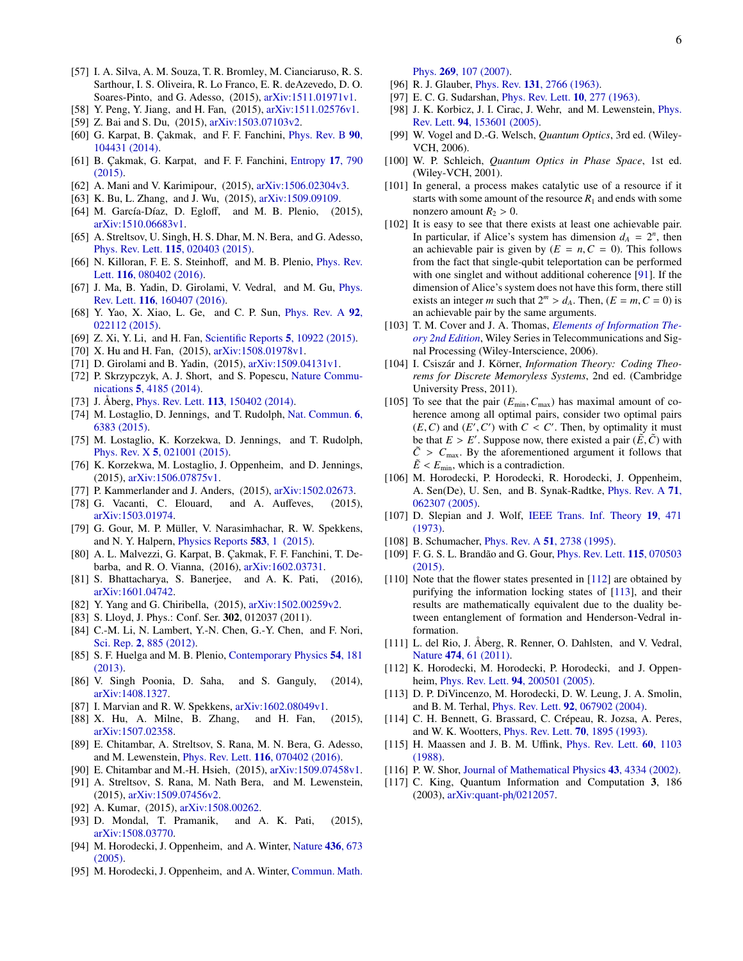- <span id="page-5-0"></span>[57] I. A. Silva, A. M. Souza, T. R. Bromley, M. Cianciaruso, R. S. Sarthour, I. S. Oliveira, R. Lo Franco, E. R. deAzevedo, D. O. Soares-Pinto, and G. Adesso, (2015), [arXiv:1511.01971v1.](http://arxiv.org/abs/1511.01971v1)
- <span id="page-5-1"></span>[58] Y. Peng, Y. Jiang, and H. Fan, (2015), [arXiv:1511.02576v1.](http://arxiv.org/abs/1511.02576v1)
- <span id="page-5-2"></span>[59] Z. Bai and S. Du, (2015), [arXiv:1503.07103v2.](http://arxiv.org/abs/1503.07103v2)
- <span id="page-5-3"></span>[60] G. Karpat, B. Çakmak, and F. F. Fanchini, [Phys. Rev. B](http://dx.doi.org/10.1103/PhysRevB.90.104431) 90, [104431 \(2014\).](http://dx.doi.org/10.1103/PhysRevB.90.104431)
- <span id="page-5-4"></span>[61] B. Çakmak, G. Karpat, and F. F. Fanchini, [Entropy](http://dx.doi.org/10.3390/e17020790) 17, 790 [\(2015\).](http://dx.doi.org/10.3390/e17020790)
- <span id="page-5-5"></span>[62] A. Mani and V. Karimipour, (2015), [arXiv:1506.02304v3.](http://arxiv.org/abs/1506.02304v3)
- [63] K. Bu, L. Zhang, and J. Wu, (2015), [arXiv:1509.09109.](http://arxiv.org/abs/1509.09109)
- <span id="page-5-6"></span>[64] M. García-Díaz, D. Egloff, and M. B. Plenio, (2015), [arXiv:1510.06683v1.](http://arxiv.org/abs/1510.06683v1)
- <span id="page-5-7"></span>[65] A. Streltsov, U. Singh, H. S. Dhar, M. N. Bera, and G. Adesso, Phys. Rev. Lett. 115[, 020403 \(2015\).](http://dx.doi.org/ 10.1103/PhysRevLett.115.020403)
- [66] N. Killoran, F. E. S. Steinhoff, and M. B. Plenio, *[Phys. Rev.](http://dx.doi.org/10.1103/PhysRevLett.116.080402)* Lett. 116[, 080402 \(2016\).](http://dx.doi.org/10.1103/PhysRevLett.116.080402)
- [67] J. Ma, B. Yadin, D. Girolami, V. Vedral, and M. Gu, [Phys.](http://dx.doi.org/ 10.1103/PhysRevLett.116.160407) Rev. Lett. 116[, 160407 \(2016\).](http://dx.doi.org/ 10.1103/PhysRevLett.116.160407)
- <span id="page-5-14"></span>[68] Y. Yao, X. Xiao, L. Ge, and C. P. Sun, *[Phys. Rev. A](http://dx.doi.org/ 10.1103/PhysRevA.92.022112)* 92, [022112 \(2015\).](http://dx.doi.org/ 10.1103/PhysRevA.92.022112)
- [69] Z. Xi, Y. Li, and H. Fan, [Scientific Reports](http://dx.doi.org/ 10.1038/srep10922) 5, 10922 (2015).
- <span id="page-5-15"></span>[70] X. Hu and H. Fan, (2015), [arXiv:1508.01978v1.](http://arxiv.org/abs/1508.01978v1)
- <span id="page-5-8"></span>[71] D. Girolami and B. Yadin, (2015), [arXiv:1509.04131v1.](http://arxiv.org/abs/1509.04131v1)
- <span id="page-5-9"></span>[72] P. Skrzypczyk, A. J. Short, and S. Popescu, [Nature Commu](http://dx.doi.org/10.1038/ncomms5185)nications 5[, 4185 \(2014\).](http://dx.doi.org/10.1038/ncomms5185)
- [73] J. Åberg, Phys. Rev. Lett. 113[, 150402 \(2014\).](http://dx.doi.org/10.1103/PhysRevLett.113.150402)
- [74] M. Lostaglio, D. Jennings, and T. Rudolph, [Nat. Commun.](http://dx.doi.org/10.1038/ncomms7383) 6, [6383 \(2015\).](http://dx.doi.org/10.1038/ncomms7383)
- [75] M. Lostaglio, K. Korzekwa, D. Jennings, and T. Rudolph, Phys. Rev. X 5[, 021001 \(2015\).](http://dx.doi.org/10.1103/PhysRevX.5.021001)
- [76] K. Korzekwa, M. Lostaglio, J. Oppenheim, and D. Jennings, (2015), [arXiv:1506.07875v1.](http://arxiv.org/abs/arXiv:1506.07875v1)
- [77] P. Kammerlander and J. Anders, (2015), [arXiv:1502.02673.](http://arxiv.org/abs/1502.02673)
- [78] G. Vacanti, C. Elouard, and A. Auffeves, (2015), [arXiv:1503.01974.](http://arxiv.org/abs/1503.01974)
- [79] G. Gour, M. P. Müller, V. Narasimhachar, R. W. Spekkens, and N. Y. Halpern, [Physics Reports](http://dx.doi.org/ 10.1016/j.physrep.2015.04.003) 583, 1 (2015).
- [80] A. L. Malvezzi, G. Karpat, B. Çakmak, F. F. Fanchini, T. Debarba, and R. O. Vianna, (2016), [arXiv:1602.03731.](http://arxiv.org/abs/1602.03731)
- [81] S. Bhattacharya, S. Banerjee, and A. K. Pati, (2016), [arXiv:1601.04742.](http://arxiv.org/abs/1601.04742)
- <span id="page-5-10"></span>[82] Y. Yang and G. Chiribella, (2015), [arXiv:1502.00259v2.](http://arxiv.org/abs/1502.00259v2)
- <span id="page-5-11"></span>[83] S. Lloyd, J. Phys.: Conf. Ser. 302, 012037 (2011).
- [84] C.-M. Li, N. Lambert, Y.-N. Chen, G.-Y. Chen, and F. Nori, Sci. Rep. 2[, 885 \(2012\).](http://dx.doi.org/ 10.1038/srep00885)
- [85] S. F. Huelga and M. B. Plenio, [Contemporary Physics](http://dx.doi.org/10.1080/00405000.2013.829687) 54, 181 [\(2013\).](http://dx.doi.org/10.1080/00405000.2013.829687)
- <span id="page-5-12"></span>[86] V. Singh Poonia, D. Saha, and S. Ganguly, (2014), [arXiv:1408.1327.](http://arxiv.org/abs/1408.1327)
- <span id="page-5-13"></span>[87] I. Marvian and R. W. Spekkens, [arXiv:1602.08049v1.](http://arxiv.org/abs/1602.08049v1)
- <span id="page-5-16"></span>[88] X. Hu, A. Milne, B. Zhang, and H. Fan, (2015), [arXiv:1507.02358.](http://arxiv.org/abs/1507.02358)
- <span id="page-5-18"></span>[89] E. Chitambar, A. Streltsov, S. Rana, M. N. Bera, G. Adesso, and M. Lewenstein, Phys. Rev. Lett. 116[, 070402 \(2016\).](http://dx.doi.org/ 10.1103/PhysRevLett.116.070402)
- <span id="page-5-35"></span>[90] E. Chitambar and M.-H. Hsieh, (2015), [arXiv:1509.07458v1.](http://arxiv.org/abs/arXiv:1509.07458v1)
- <span id="page-5-19"></span>[91] A. Streltsov, S. Rana, M. Nath Bera, and M. Lewenstein, (2015), [arXiv:1509.07456v2.](http://arxiv.org/abs/1509.07456v2)
- [92] A. Kumar, (2015), [arXiv:1508.00262.](http://arxiv.org/abs/1508.00262)
- <span id="page-5-17"></span>[93] D. Mondal, T. Pramanik, and A. K. Pati, (2015), [arXiv:1508.03770.](http://arxiv.org/abs/1508.03770)
- <span id="page-5-20"></span>[94] M. Horodecki, J. Oppenheim, and A. Winter, [Nature](http://dx.doi.org/10.1038/nature03909) 436, 673 [\(2005\).](http://dx.doi.org/10.1038/nature03909)
- <span id="page-5-21"></span>[95] M. Horodecki, J. Oppenheim, and A. Winter, [Commun. Math.](http://dx.doi.org/10.1007/s00220-006-0118-x)

Phys. 269[, 107 \(2007\).](http://dx.doi.org/10.1007/s00220-006-0118-x)

- <span id="page-5-22"></span>[96] R. J. Glauber, *Phys. Rev.* **131**[, 2766 \(1963\).](http://dx.doi.org/10.1103/PhysRev.131.2766)
- <span id="page-5-23"></span>[97] E. C. G. Sudarshan, [Phys. Rev. Lett.](http://dx.doi.org/10.1103/PhysRevLett.10.277) 10, 277 (1963).
- <span id="page-5-24"></span>[98] J. K. Korbicz, J. I. Cirac, J. Wehr, and M. Lewenstein, [Phys.](http://dx.doi.org/ 10.1103/PhysRevLett.94.153601) Rev. Lett. 94[, 153601 \(2005\).](http://dx.doi.org/ 10.1103/PhysRevLett.94.153601)
- [99] W. Vogel and D.-G. Welsch, *Quantum Optics*, 3rd ed. (Wiley-VCH, 2006).
- <span id="page-5-25"></span>[100] W. P. Schleich, *Quantum Optics in Phase Space*, 1st ed. (Wiley-VCH, 2001).
- <span id="page-5-26"></span>[101] In general, a process makes catalytic use of a resource if it starts with some amount of the resource  $R_1$  and ends with some nonzero amount  $R_2 > 0$ .
- <span id="page-5-27"></span>[102] It is easy to see that there exists at least one achievable pair. In particular, if Alice's system has dimension  $d_A = 2^n$ , then an achievable pair is given by  $(E = n, C = 0)$ . This follows from the fact that single-qubit teleportation can be performed with one singlet and without additional coherence [\[91\]](#page-5-19). If the dimension of Alice's system does not have this form, there still exists an integer *m* such that  $2^m > d_A$ . Then,  $(E = m, C = 0)$  is an achievable pair by the same arguments.
- <span id="page-5-28"></span>[103] T. M. Cover and J. A. Thomas, *[Elements of Information The](http://dx.doi.org/10.1002/047174882X)[ory 2nd Edition](http://dx.doi.org/10.1002/047174882X)*, Wiley Series in Telecommunications and Signal Processing (Wiley-Interscience, 2006).
- <span id="page-5-29"></span>[104] I. Csiszár and J. Körner, *Information Theory: Coding Theorems for Discrete Memoryless Systems*, 2nd ed. (Cambridge University Press, 2011).
- <span id="page-5-30"></span>[105] To see that the pair  $(E_{min}, C_{max})$  has maximal amount of coherence among all optimal pairs, consider two optimal pairs  $(E, C)$  and  $(E', C')$  with  $C < C'$ . Then, by optimality it must<br>be that  $F > F'$ . Suppose now there existed a pair  $(\tilde{F}, \tilde{C})$  with be that  $E > E'$ . Suppose now, there existed a pair  $(\tilde{E}, \tilde{C})$  with  $\tilde{C} > C$  By the aforementioned aroument it follows that  $\tilde{C} > C_{\text{max}}$ . By the aforementioned argument it follows that  $\tilde{E}$  <  $E_{\text{min}}$ , which is a contradiction.
- <span id="page-5-31"></span>[106] M. Horodecki, P. Horodecki, R. Horodecki, J. Oppenheim, A. Sen(De), U. Sen, and B. Synak-Radtke, [Phys. Rev. A](http://dx.doi.org/ 10.1103/PhysRevA.71.062307) 71, [062307 \(2005\).](http://dx.doi.org/ 10.1103/PhysRevA.71.062307)
- <span id="page-5-32"></span>[107] D. Slepian and J. Wolf, [IEEE Trans. Inf. Theory](http://dx.doi.org/10.1109/TIT.1973.1055037) 19, 471 [\(1973\).](http://dx.doi.org/10.1109/TIT.1973.1055037)
- <span id="page-5-33"></span>[108] B. Schumacher, *Phys. Rev. A* **51**[, 2738 \(1995\).](http://dx.doi.org/10.1103/PhysRevA.51.2738)
- <span id="page-5-34"></span>[109] F. G. S. L. Brandão and G. Gour, [Phys. Rev. Lett.](http://dx.doi.org/10.1103/PhysRevLett.115.070503) 115, 070503 [\(2015\).](http://dx.doi.org/10.1103/PhysRevLett.115.070503)
- <span id="page-5-36"></span>[110] Note that the flower states presented in [\[112\]](#page-5-38) are obtained by purifying the information locking states of [\[113\]](#page-5-39), and their results are mathematically equivalent due to the duality between entanglement of formation and Henderson-Vedral information.
- <span id="page-5-37"></span>[111] L. del Rio, J. Åberg, R. Renner, O. Dahlsten, and V. Vedral, Nature 474[, 61 \(2011\).](http://dx.doi.org/ 10.1038/nature10123)
- <span id="page-5-38"></span>[112] K. Horodecki, M. Horodecki, P. Horodecki, and J. Oppenheim, Phys. Rev. Lett. 94[, 200501 \(2005\).](http://dx.doi.org/10.1103/PhysRevLett.94.200501)
- <span id="page-5-39"></span>[113] D. P. DiVincenzo, M. Horodecki, D. W. Leung, J. A. Smolin, and B. M. Terhal, Phys. Rev. Lett. 92[, 067902 \(2004\).](http://dx.doi.org/10.1103/PhysRevLett.92.067902)
- <span id="page-5-40"></span>[114] C. H. Bennett, G. Brassard, C. Crépeau, R. Jozsa, A. Peres, and W. K. Wootters, [Phys. Rev. Lett.](http://dx.doi.org/ 10.1103/PhysRevLett.70.1895) 70, 1895 (1993).
- <span id="page-5-41"></span>[115] H. Maassen and J. B. M. Uffink, [Phys. Rev. Lett.](http://dx.doi.org/10.1103/PhysRevLett.60.1103) **60**, 1103 [\(1988\).](http://dx.doi.org/10.1103/PhysRevLett.60.1103)
- <span id="page-5-42"></span>[116] P. W. Shor, [Journal of Mathematical Physics](http://dx.doi.org/10.1063/1.1498000) 43, 4334 (2002).
- <span id="page-5-43"></span>[117] C. King, Quantum Information and Computation 3, 186 (2003), [arXiv:quant-ph](http://arxiv.org/abs/quant-ph/0212057)/0212057.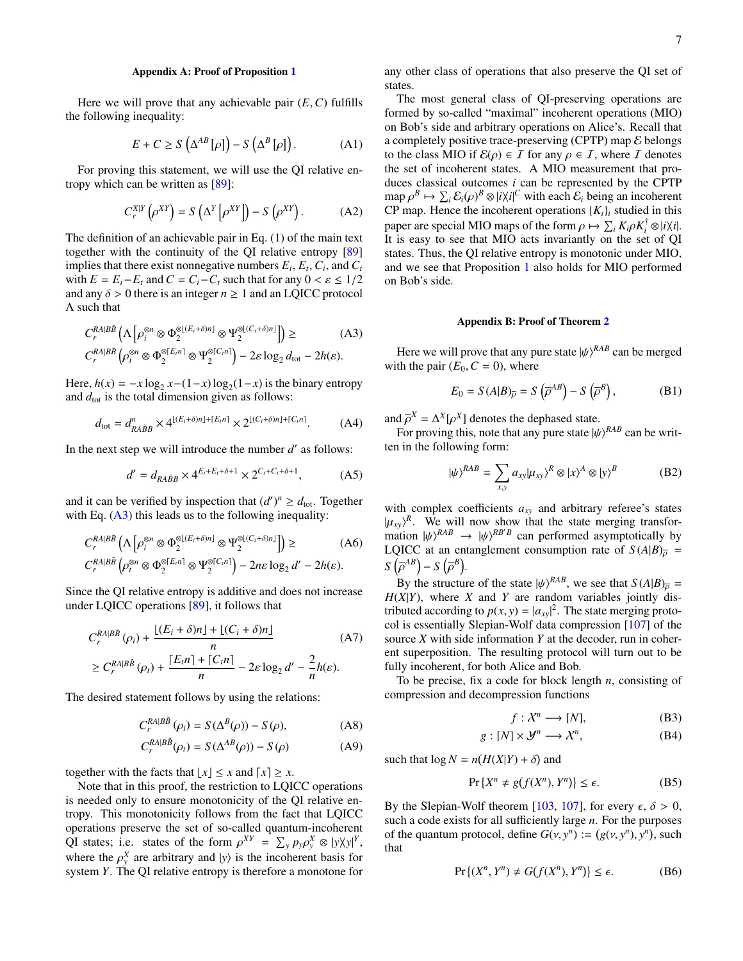## <span id="page-6-0"></span>Appendix A: Proof of Proposition [1](#page-2-1)

Here we will prove that any achievable pair  $(E, C)$  fulfills the following inequality:

$$
E + C \ge S\left(\Delta^{AB}[\rho]\right) - S\left(\Delta^{B}[\rho]\right). \tag{A1}
$$

For proving this statement, we will use the QI relative entropy which can be written as [\[89\]](#page-5-18):

$$
C_r^{X|Y}(\rho^{XY}) = S(\Delta^Y[\rho^{XY}]) - S(\rho^{XY}).
$$
 (A2)

The definition of an achievable pair in Eq. [\(1\)](#page-1-0) of the main text together with the continuity of the QI relative entropy [\[89\]](#page-5-18) implies that there exist nonnegative numbers  $E_i$ ,  $E_t$ ,  $C_i$ , and  $C_t$ with  $E = E_i - E_t$  and  $C = C_i - C_t$  such that for any  $0 < \varepsilon \leq 1/2$ and any  $\delta > 0$  there is an integer  $n \geq 1$  and an LQICC protocol Λ such that

$$
C_r^{RA|B\tilde{B}}\left(\Lambda\left[\rho_i^{\otimes n} \otimes \Phi_2^{\otimes[(E_i+\delta)n]} \otimes \Psi_2^{\otimes[(C_i+\delta)n]}\right]\right) \geq (A3)
$$
  

$$
C^{RA|B\tilde{B}}\left(\wedge^{\otimes n} \otimes \Phi^{\otimes[E_i n]} \otimes \Psi^{\otimes[C_i n]}\right) = 2 \text{clos } d = 2b(c)
$$

$$
C_r^{RA|B\tilde{B}}\left(\rho_t^{\otimes n}\otimes\Phi_2^{\otimes [E_in]}\otimes\Psi_2^{\otimes [C_in]}\right)-2\varepsilon\log_2 d_{\text{tot}}-2h(\varepsilon).
$$

Here,  $h(x) = -x \log_2 x - (1-x) \log_2(1-x)$  is the binary entropy and  $d_{\text{tot}}$  is the total dimension given as follows:

$$
d_{\text{tot}} = d_{RA\tilde{B}B}^n \times 4^{\lfloor (E_i + \delta)n \rfloor + \lceil E_i n \rceil} \times 2^{\lfloor (C_i + \delta)n \rfloor + \lceil C_i n \rceil}.
$$
 (A4)

In the next step we will introduce the number  $d'$  as follows:

$$
d' = d_{RA\tilde{B}B} \times 4^{E_i + E_i + \delta + 1} \times 2^{C_i + C_i + \delta + 1},
$$
 (A5)

and it can be verified by inspection that  $(d')^n \ge d_{\text{tot}}$ . Together with Eq.  $(A3)$  this leads us to the following inequality:

$$
C_r^{RA|B\tilde{B}}\left(\Lambda\left[\rho_i^{\otimes n} \otimes \Phi_2^{\otimes \left(\underline{E}_i + \delta\right)n\right]} \otimes \Psi_2^{\otimes \left(\underline{C}_i + \delta\right)n\right]}\right) \geq (A6)
$$
  

$$
C_r^{RA|B\tilde{B}}\left(\rho_i^{\otimes n} \otimes \Phi_2^{\otimes \left[\underline{E}_i n\right]} \otimes \Psi_2^{\otimes \left[\underline{C}_i n\right]}\right) - 2n\varepsilon \log_2 d' - 2h(\varepsilon).
$$

Since the QI relative entropy is additive and does not increase under LQICC operations [\[89\]](#page-5-18), it follows that

$$
C_r^{RA|B\bar{B}}(\rho_i) + \frac{\lfloor (E_i + \delta)n \rfloor + \lfloor (C_i + \delta)n \rfloor}{n}
$$
 (A7)  
\n
$$
\geq C_r^{RA|B\bar{B}}(\rho_i) + \frac{\lfloor E_t n \rfloor + \lfloor C_t n \rfloor}{n} - 2\varepsilon \log_2 d' - \frac{2}{n}h(\varepsilon).
$$

The desired statement follows by using the relations:

$$
C_r^{RA|B\tilde{B}}(\rho_i) = S(\Delta^B(\rho)) - S(\rho), \tag{A8}
$$

$$
C_r^{RA|B\tilde{B}}(\rho_t) = S(\Delta^{AB}(\rho)) - S(\rho)
$$
 (A9)

together with the facts that  $\lfloor x \rfloor \leq x$  and  $\lceil x \rceil \geq x$ .

Note that in this proof, the restriction to LQICC operations is needed only to ensure monotonicity of the QI relative entropy. This monotonicity follows from the fact that LQICC operations preserve the set of so-called quantum-incoherent QI states; i.e. states of the form  $\rho^{XY} = \sum_{y} p_{y} \rho_{y}^{X} \otimes |y \rangle \vee |^{Y}$ , where the  $\alpha^{X}$  are orbitrary and  $|y\rangle$  is the incoherent hesis for where the  $\rho_y^X$  are arbitrary and  $|y\rangle$  is the incoherent basis for system Y. The OI relative entrony is therefore a monotone for system *Y*. The QI relative entropy is therefore a monotone for

any other class of operations that also preserve the QI set of states.

The most general class of QI-preserving operations are formed by so-called "maximal" incoherent operations (MIO) on Bob's side and arbitrary operations on Alice's. Recall that a completely positive trace-preserving (CPTP) map  $\varepsilon$  belongs to the class MIO if  $\mathcal{E}(\rho) \in \mathcal{I}$  for any  $\rho \in \mathcal{I}$ , where  $\mathcal{I}$  denotes the set of incoherent states. A MIO measurement that produces classical outcomes *i* can be represented by the CPTP map  $\rho^B \mapsto \sum_i \mathcal{E}_i(\rho)^B \otimes |i\rangle\langle i|^C$  with each  $\mathcal{E}_i$  being an incoherent<br>CP man. Hence the incoherent operations  $\{K_i\}$  studied in this CP map. Hence the incoherent operations  ${K_i}_i$  studied in this paper are special MIO maps of the form  $\rho \mapsto \sum_i K_i \rho K_i^{\dagger}$ <br>It is easy to see that MIO acts invariantly on the set  $i^{\dagger}$  ⊗ |*i* $\chi$ *i*|. It is easy to see that MIO acts invariantly on the set of QI states. Thus, the QI relative entropy is monotonic under MIO, and we see that Proposition [1](#page-2-1) also holds for MIO performed on Bob's side.

### <span id="page-6-1"></span>Appendix B: Proof of Theorem [2](#page-2-2)

<span id="page-6-2"></span>Here we will prove that any pure state  $|\psi\rangle^{RAB}$  can be merged<br>th the pair  $(F_0, C = 0)$  where with the pair  $(E_0, C = 0)$ , where

$$
E_0 = S(A|B)_{\overline{\rho}} = S(\overline{\rho}^{AB}) - S(\overline{\rho}^B), \tag{B1}
$$

and  $\overline{\rho}^X = \Delta^X[\rho^X]$  denotes the dephased state.<br>For proving this, note that any pure state *M* [ρ

For proving this, note that any pure state  $|\psi\rangle^{RAB}$  can be writ-<br>*i* in the following form: ten in the following form:

$$
|\psi\rangle^{RAB} = \sum_{x,y} a_{xy} |\mu_{xy}\rangle^R \otimes |x\rangle^A \otimes |y\rangle^B \tag{B2}
$$

with complex coefficients  $a_{xy}$  and arbitrary referee's states  $|\mu_{xy}\rangle^R$ . We will now show that the state merging transformation  $|\psi\rangle^{RAB} \rightarrow |\psi\rangle^{RB'B}$  can performed asymptotically by mation  $|\psi\rangle^{RAB} \rightarrow |\psi\rangle^{RB'B}$  can performed asymptotically by<br>*I* OICC at an entanglement consumption rate of  $S(AB)$  – LQICC at an entanglement consumption rate of  $S(A|B)_{\overline{0}} =$  $S\left(\overline{\rho}^{AB}\right)-S\left(\overline{\rho}^B\right).$ 

By the structure of the state  $|\psi\rangle^{RAB}$ , we see that  $S(A|B)_{\overline{p}} = \frac{S(Y|Y)}{S(Y|Y)}$  where *X* and *Y* are random variables jointly dis- $H(X|Y)$ , where *X* and *Y* are random variables jointly distributed according to  $p(x, y) = |a_{xy}|^2$ . The state merging proto-<br>col is essentially Slepian-Wolf data compression [107] of the col is essentially Slepian-Wolf data compression [\[107\]](#page-5-32) of the source *X* with side information *Y* at the decoder, run in coherent superposition. The resulting protocol will turn out to be fully incoherent, for both Alice and Bob.

To be precise, fix a code for block length *n*, consisting of compression and decompression functions

$$
f: \mathcal{X}^n \longrightarrow [N],
$$
 (B3)

$$
g: [N] \times \mathcal{Y}^n \longrightarrow \mathcal{X}^n,\tag{B4}
$$

such that  $\log N = n(H(X|Y) + \delta)$  and

$$
\Pr\left\{X^n \neq g(f(X^n), Y^n)\right\} \leq \epsilon. \tag{B5}
$$

By the Slepian-Wolf theorem [\[103,](#page-5-28) [107\]](#page-5-32), for every  $\epsilon$ ,  $\delta > 0$ , such a code exists for all sufficiently large *n*. For the purposes of the quantum protocol, define  $G(v, y^n) := (g(v, y^n), y^n)$ , such that that

$$
\Pr\left\{(X^n, Y^n) \neq G(f(X^n), Y^n)\right\} \leq \epsilon. \tag{B6}
$$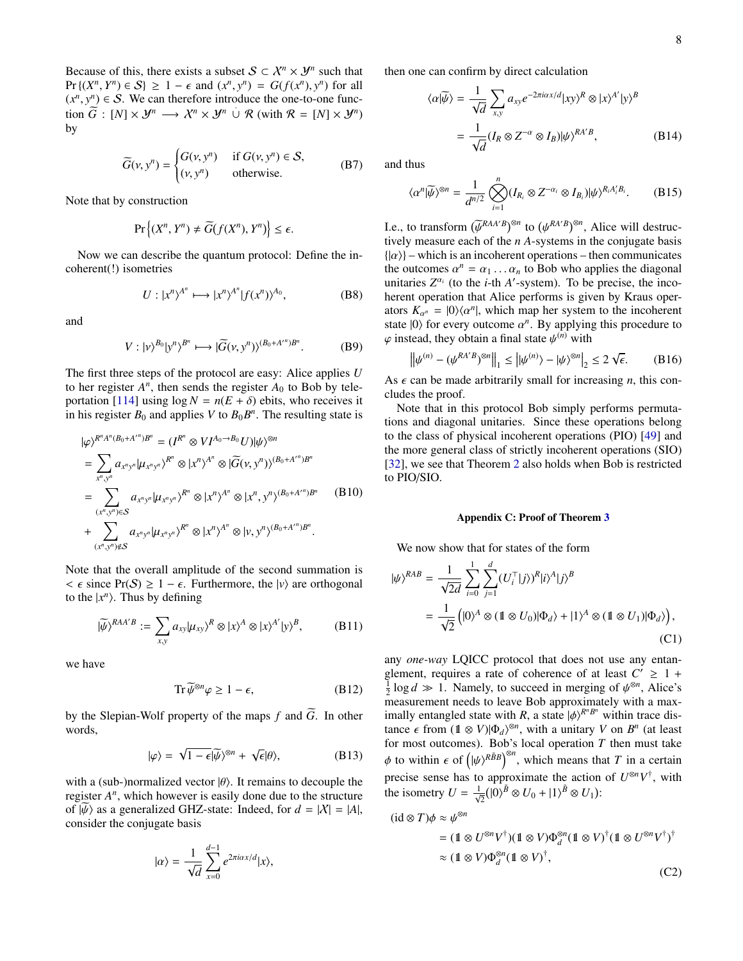Because of this, there exists a subset  $S \subset \mathcal{X}^n \times \mathcal{Y}^n$  such that  $\Pr \{ (X^n, Y^n) \in S \} \ge 1 - \epsilon \text{ and } (x^n, y^n) = G(f(x^n), y^n) \text{ for all } (x^n, y^n) \in S.$  We can therefore introduce the one-to-one func- $(x^n, y^n)$  ∈ S. We can therefore introduce the one-to-one func-<br>tion  $\widetilde{G}$  :  $[M] \times M^n$  →  $X^n \times M^n$  if  $\mathcal{R}$  (with  $\mathcal{R} = [M] \times M^n$ ) tion  $\widetilde{G}$  :  $[N] \times \mathcal{Y}^n \longrightarrow \mathcal{X}^n \times \mathcal{Y}^n \cup \mathcal{R}$  (with  $\mathcal{R} = [N] \times \mathcal{Y}^n$ ) by

$$
\widetilde{G}(v, y^n) = \begin{cases} G(v, y^n) & \text{if } G(v, y^n) \in S, \\ (v, y^n) & \text{otherwise.} \end{cases}
$$
 (B7)

Note that by construction

$$
\Pr\left\{(X^n, Y^n) \neq \widetilde{G}(f(X^n), Y^n)\right\} \leq \epsilon.
$$

Now we can describe the quantum protocol: Define the incoherent(!) isometries

$$
U: |x^n\rangle^{A^n} \longmapsto |x^n\rangle^{A^n} |f(x^n)\rangle^{A_0},
$$
 (B8)

and

$$
V: |\nu\rangle^{B_0}|\mathbf{y}^n\rangle^{B^n} \longmapsto |\widetilde{G}(\nu, \mathbf{y}^n)\rangle^{(B_0 + A'^n)B^n}.
$$
 (B9)

The first three steps of the protocol are easy: Alice applies *U* to her register  $A<sup>n</sup>$ , then sends the register  $A<sub>0</sub>$  to Bob by tele-portation [\[114\]](#page-5-40) using  $\log N = n(E + \delta)$  ebits, who receives it in his register  $B_0$  and applies *V* to  $B_0 B^n$ . The resulting state is

$$
\begin{split}\n|\varphi\rangle^{R^{n}A^{n}(B_{0}+A'^{n})B^{n}} &= (I^{R^{n}} \otimes VI^{A_{0}\to B_{0}}U)|\psi\rangle^{\otimes n} \\
&= \sum_{x^{n},y^{n}} a_{x^{n}y^{n}} |\mu_{x^{n}y^{n}}\rangle^{R^{n}} \otimes |x^{n}\rangle^{A^{n}} \otimes |\widetilde{G}(v,y^{n})\rangle^{(B_{0}+A'^{n})B^{n}} \\
&= \sum_{(x^{n},y^{n})\in S} a_{x^{n}y^{n}} |\mu_{x^{n}y^{n}}\rangle^{R^{n}} \otimes |x^{n}\rangle^{A^{n}} \otimes |x^{n},y^{n}\rangle^{(B_{0}+A'^{n})B^{n}} \qquad (B10) \\
&+ \sum_{(x^{n},y^{n})\in S} a_{x^{n}y^{n}} |\mu_{x^{n}y^{n}}\rangle^{R^{n}} \otimes |x^{n}\rangle^{A^{n}} \otimes |v,y^{n}\rangle^{(B_{0}+A'^{n})B^{n}}.\n\end{split}
$$

Note that the overall amplitude of the second summation is  $< \epsilon$  since Pr(S)  $\geq 1 - \epsilon$ . Furthermore, the  $|v\rangle$  are orthogonal to the  $|x^n\rangle$ . Thus by defining

$$
|\widetilde{\psi}\rangle^{RAA'B} := \sum_{x,y} a_{xy} |\mu_{xy}\rangle^R \otimes |x\rangle^A \otimes |x\rangle^{A'} |y\rangle^B, \tag{B11}
$$

we have

$$
\operatorname{Tr}\widetilde{\psi}^{\otimes n}\varphi\geq 1-\epsilon,\tag{B12}
$$

by the Slepian-Wolf property of the maps  $f$  and  $\tilde{G}$ . In other words,

$$
|\varphi\rangle = \sqrt{1 - \epsilon} |\widetilde{\psi}\rangle^{\otimes n} + \sqrt{\epsilon} |\theta\rangle, \tag{B13}
$$

with a (sub-)normalized vector  $|\theta\rangle$ . It remains to decouple the register  $A<sup>n</sup>$ , which however is easily done due to the structure of  $|\psi\rangle$  as a generalized GHZ-state: Indeed, for  $d = |X| = |A|$ , consider the conjugate basis

$$
|\alpha\rangle = \frac{1}{\sqrt{d}} \sum_{x=0}^{d-1} e^{2\pi i \alpha x/d} |x\rangle,
$$

then one can confirm by direct calculation

$$
\langle \alpha | \widetilde{\psi} \rangle = \frac{1}{\sqrt{d}} \sum_{x,y} a_{xy} e^{-2\pi i \alpha x/d} |xy\rangle^R \otimes |x\rangle^{A'} |y\rangle^B
$$

$$
= \frac{1}{\sqrt{d}} (I_R \otimes Z^{-\alpha} \otimes I_B) | \psi\rangle^{RA'B}, \qquad (B14)
$$

and thus

$$
\langle \alpha^n | \widetilde{\psi} \rangle^{\otimes n} = \frac{1}{d^{n/2}} \bigotimes_{i=1}^n (I_{R_i} \otimes Z^{-\alpha_i} \otimes I_{B_i}) | \psi \rangle^{R_i A_i' B_i}.
$$
 (B15)

Le., to transform  $(\bar{\psi}^{RAA'B})^{\otimes n}$  to  $(\psi^{RA'B})^{\otimes n}$ , Alice will destructively measure each of the *n* A-systems in the conjugate basis tively measure each of the *n A*-systems in the conjugate basis  $\{| \alpha \rangle \}$  – which is an incoherent operations – then communicates the outcomes  $\alpha^n = \alpha_1 \dots \alpha_n$  to Bob who applies the diagonal unitaries  $Z^{\alpha_i}$  (to the *i*-th *A'*-system). To be precise, the incounitaries  $Z^{\alpha_i}$  (to the *i*-th *A'*-system). To be precise, the incoherent operation that Alice performs is given by Kraus operators  $K_{\alpha^n} = |0\rangle\langle\alpha^n|$ , which map her system to the incoherent<br>state  $|0\rangle$  for every outcome  $\alpha^n$ . By applying this procedure to state  $|0\rangle$  for every outcome  $\alpha^n$ . By applying this procedure to  $\alpha$  instead, they obtain a final state  $u^{(n)}$  with  $\varphi$  instead, they obtain a final state  $\psi^{(n)}$  with

$$
\left\|\psi^{(n)} - (\psi^{RA'B})^{\otimes n}\right\|_{1} \le \left|\psi^{(n)}\right\rangle - \left|\psi\right\rangle^{\otimes n}\right|_{2} \le 2\sqrt{\epsilon}.
$$
 (B16)

As  $\epsilon$  can be made arbitrarily small for increasing *n*, this concludes the proof.

Note that in this protocol Bob simply performs permutations and diagonal unitaries. Since these operations belong to the class of physical incoherent operations (PIO) [\[49\]](#page-4-23) and the more general class of strictly incoherent operations (SIO) [\[32\]](#page-4-22), we see that Theorem [2](#page-2-2) also holds when Bob is restricted to PIO/SIO.

#### <span id="page-7-0"></span>Appendix C: Proof of Theorem [3](#page-3-2)

We now show that for states of the form

$$
|\psi\rangle^{RAB} = \frac{1}{\sqrt{2d}} \sum_{i=0}^{1} \sum_{j=1}^{d} (U_i^{\top} |j\rangle)^R |i\rangle^A |j\rangle^B
$$
  
= 
$$
\frac{1}{\sqrt{2}} (|0\rangle^A \otimes (1 \otimes U_0)|\Phi_d\rangle + |1\rangle^A \otimes (1 \otimes U_1)|\Phi_d\rangle),
$$
 (C1)

any *one-way* LQICC protocol that does not use any entanglement, requires a rate of coherence of at least  $C' \geq 1 +$  $\frac{1}{2}$  log  $d \gg 1$ . Namely, to succeed in merging of  $\psi^{\otimes n}$ , Alice's measurement needs to leave Bob approximately with a maxmeasurement needs to leave Bob approximately with a maximally entangled state with *R*, a state  $|\phi\rangle^{R^n B^n}$  within trace distance  $\epsilon$  from  $(1 \otimes V)|\Phi\rangle^{\otimes n}$  with a unitary *V* on  $R^n$  (at least tance  $\epsilon$  from  $(1 \otimes V)|\Phi_d\rangle^{\otimes n}$ , with a unitary *V* on  $B^n$  (at least for most outcomes). Bob's local operation *T* then must take for most outcomes). Bob's local operation *T* then must take φ to within  $\epsilon$  of  $(\psi)^{R\tilde{B}B}$ <sup>®*n*</sup>, which means that *T* in a certain precise sense has to approximate the action of  $U^{\otimes n}V^{\dagger}$ , with the isometry  $U = \frac{1}{\sqrt{2}} (|0\rangle^{\tilde{B}} \otimes U_0 + |1\rangle^{\tilde{B}} \otimes U_1)$ :

$$
(\mathrm{id} \otimes T)\phi \approx \psi^{\otimes n}
$$
  
=  $(1 \otimes U^{\otimes n}V^{\dagger})(1 \otimes V)\Phi_d^{\otimes n}(1 \otimes V)^{\dagger}(1 \otimes U^{\otimes n}V^{\dagger})^{\dagger}$   
 $\approx (1 \otimes V)\Phi_d^{\otimes n}(1 \otimes V)^{\dagger},$  (C2)